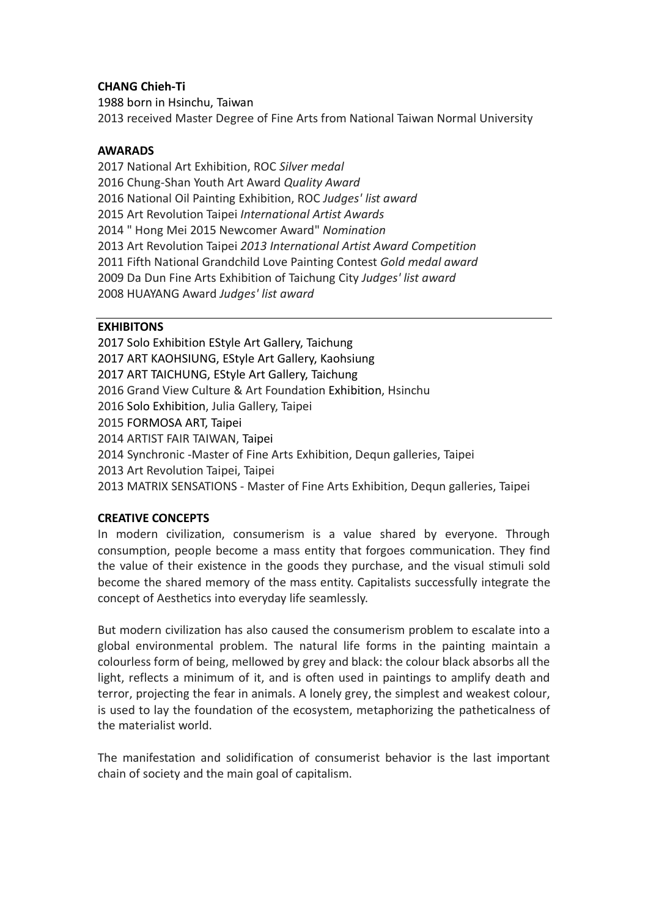## **CHANG Chieh-Ti**

1988 born in Hsinchu, Taiwan 2013 received Master Degree of Fine Arts from National Taiwan Normal University

### **AWARADS**

 National Art Exhibition, ROC *Silver medal* Chung-Shan Youth Art Award *Quality Award* National Oil Painting Exhibition, ROC *Judges' list award* Art Revolution Taipei *International Artist Awards* " Hong Mei 2015 Newcomer Award" *Nomination* Art Revolution Taipei *2013 International Artist Award Competition* Fifth National Grandchild Love Painting Contest *Gold medal award* Da Dun Fine Arts Exhibition of Taichung City *Judges' list award* HUAYANG Award *Judges' list award*

## **EXHIBITONS**

 Solo Exhibition EStyle Art Gallery, Taichung ART KAOHSIUNG, EStyle Art Gallery, Kaohsiung ART TAICHUNG, EStyle Art Gallery, Taichung Grand View Culture & Art Foundation Exhibition, Hsinchu Solo Exhibition, Julia Gallery, Taipei FORMOSA ART, Taipei ARTIST FAIR TAIWAN, Taipei Synchronic -Master of Fine Arts Exhibition, Dequn galleries, Taipei Art Revolution Taipei, Taipei MATRIX SENSATIONS - Master of Fine Arts Exhibition, Dequn galleries, Taipei

# **CREATIVE CONCEPTS**

In modern civilization, consumerism is a value shared by everyone. Through consumption, people become a mass entity that forgoes communication. They find the value of their existence in the goods they purchase, and the visual stimuli sold become the shared memory of the mass entity. Capitalists successfully integrate the concept of Aesthetics into everyday life seamlessly.

But modern civilization has also caused the consumerism problem to escalate into a global environmental problem. The natural life forms in the painting maintain a colourless form of being, mellowed by grey and black: the colour black absorbs all the light, reflects a minimum of it, and is often used in paintings to amplify death and terror, projecting the fear in animals. A lonely grey, the simplest and weakest colour, is used to lay the foundation of the ecosystem, metaphorizing the patheticalness of the materialist world.

The manifestation and solidification of consumerist behavior is the last important chain of society and the main goal of capitalism.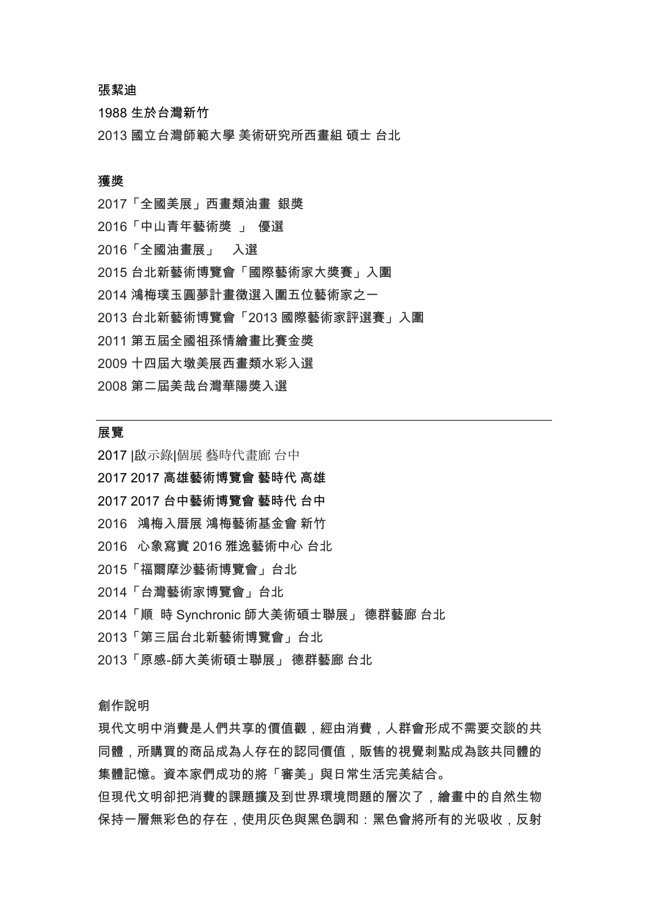### 張絜迪

生於台灣新竹

國立台灣師範大學 美術研究所西畫組 碩士 台北

### 獲獎

「全國美展」西畫類油畫 銀獎 「中山青年藝術獎 」 優選 「全國油畫展」 入選 台北新藝術博覽會「國際藝術家大獎賽」入圍 鴻梅璞玉圓夢計畫徵選入圍五位藝術家之一 台北新藝術博覽會「2013 國際藝術家評選賽」入圍 第五屆全國祖孫情繪畫比賽金獎 十四屆大墩美展西畫類水彩入選 第二屆美哉台灣華陽獎入選

#### 展覽

|啟示錄|個展 藝時代畫廊 台中

2017 高雄藝術博覽會 藝時代 高雄

- 2017 台中藝術博覽會 藝時代 台中
- 鴻梅入厝展 鴻梅藝術基金會 新竹
- 心象寫實 2016 雅逸藝術中心 台北
- 「福爾摩沙藝術博覽會」台北
- 「台灣藝術家博覽會」台北
- 「順 時 Synchronic 師大美術碩士聯展」 德群藝廊 台北
- 「第三屆台北新藝術博覽會」台北
- 「原感-師大美術碩士聯展」 德群藝廊 台北

創作說明

現代文明中消費是人們共享的價值觀,經由消費,人群會形成不需要交談的共 同體,所購買的商品成為人存在的認同價值,販售的視覺刺點成為該共同體的 集體記憶。資本家們成功的將「審美」與日常生活完美結合。

但現代文明卻把消費的課題擴及到世界環境問題的層次了,繪畫中的自然生物 保持一層無彩色的存在,使用灰色與黑色調和:黑色會將所有的光吸收,反射